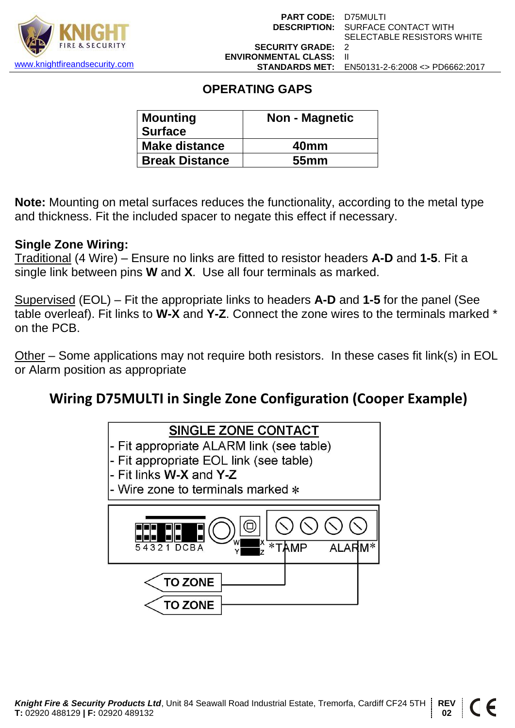

### **OPERATING GAPS**

| <b>Mounting</b><br><b>Surface</b> | <b>Non - Magnetic</b> |  |  |
|-----------------------------------|-----------------------|--|--|
| <b>Make distance</b>              | 40 <sub>mm</sub>      |  |  |
| <b>Break Distance</b>             | 55 <sub>mm</sub>      |  |  |

**Note:** Mounting on metal surfaces reduces the functionality, according to the metal type and thickness. Fit the included spacer to negate this effect if necessary.

#### **Single Zone Wiring:**

Traditional (4 Wire) – Ensure no links are fitted to resistor headers **A-D** and **1-5**. Fit a single link between pins **W** and **X**. Use all four terminals as marked.

Supervised (EOL) – Fit the appropriate links to headers **A-D** and **1-5** for the panel (See table overleaf). Fit links to **W-X** and **Y-Z**. Connect the zone wires to the terminals marked \* on the PCB.

Other – Some applications may not require both resistors. In these cases fit link(s) in EOL or Alarm position as appropriate

## **Wiring D75MULTI in Single Zone Configuration (Cooper Example)**